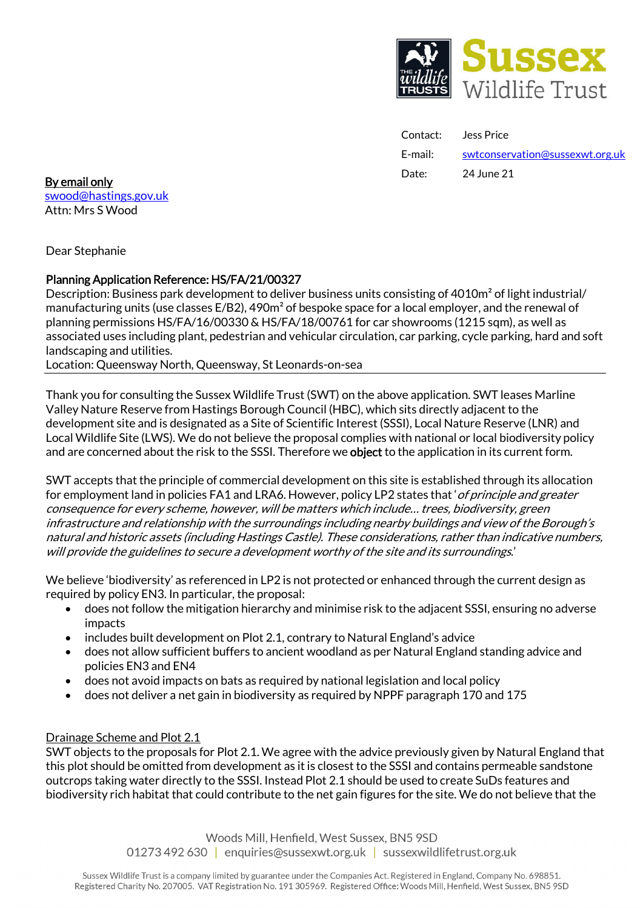

Contact: Jess Price E-mail: swtconservation@sussexwt.org.uk

**Date:** 24 June 21 **By email only and the set of the control of the control of the control of the control of the control of the control of the control of the control of the control of the control of the control of the cont** swood@hastings.gov.uk Attn: Mrs S Wood

Dear Stephanie

# Planning Application Reference: HS/FA/21/00327

Description: Business park development to deliver business units consisting of 4010m² of light industrial/ manufacturing units (use classes E/B2), 490m² of bespoke space for a local employer, and the renewal of planning permissions HS/FA/16/00330 & HS/FA/18/00761 for car showrooms (1215 sqm), as well as associated uses including plant, pedestrian and vehicular circulation, car parking, cycle parking, hard and soft landscaping and utilities.

Location: Queensway North, Queensway, St Leonards-on-sea

Thank you for consulting the Sussex Wildlife Trust(SWT) on the above application. SWT leases Marline Valley Nature Reserve from Hastings Borough Council (HBC), which sits directly adjacent to the development site and is designated as a Site of Scientific Interest (SSSI), Local Nature Reserve (LNR) and Local Wildlife Site (LWS). We do not believe the proposal complies with national or local biodiversity policy and are concerned about the risk to the SSSI. Therefore we object to the application in its current form.

SWT accepts that the principle of commercial development on this site is established through its allocation for employment land in policies FA1 and LRA6. However, policy LP2 states that 'of principle and greater consequence for every scheme, however, will be matters which include… trees, biodiversity, green infrastructure and relationship with the surroundings including nearby buildings and view of the Borough's natural and historic assets (including Hastings Castle). These considerations, rather than indicative numbers, will provide the guidelines to secure a development worthy of the site and its surroundings.'

We believe 'biodiversity' as referenced in LP2 is not protected or enhanced through the current design as required by policy EN3. In particular, the proposal:

- does not follow the mitigation hierarchy and minimise risk to the adjacent SSSI, ensuring no adverse impacts
- includes built development on Plot 2.1, contrary to Natural England's advice
- does not allow sufficient buffers to ancient woodland as per Natural England standing advice and policies EN3 and EN4
- does not avoid impacts on bats as required by national legislation and local policy
- does not deliver a net gain in biodiversity as required by NPPF paragraph 170 and 175

# Drainage Scheme and Plot 2.1

SWT objects to the proposals for Plot 2.1. We agree with the advice previously given by Natural England that this plot should be omitted from development as it is closest to the SSSI and contains permeable sandstone outcrops taking water directly to the SSSI. Instead Plot 2.1 should be used to create SuDs features and biodiversity rich habitat that could contribute to the net gain figures for the site. We do not believe that the

> Woods Mill, Henfield, West Sussex, BN5 9SD 01273 492 630 | enquiries@sussexwt.org.uk | sussexwildlifetrust.org.uk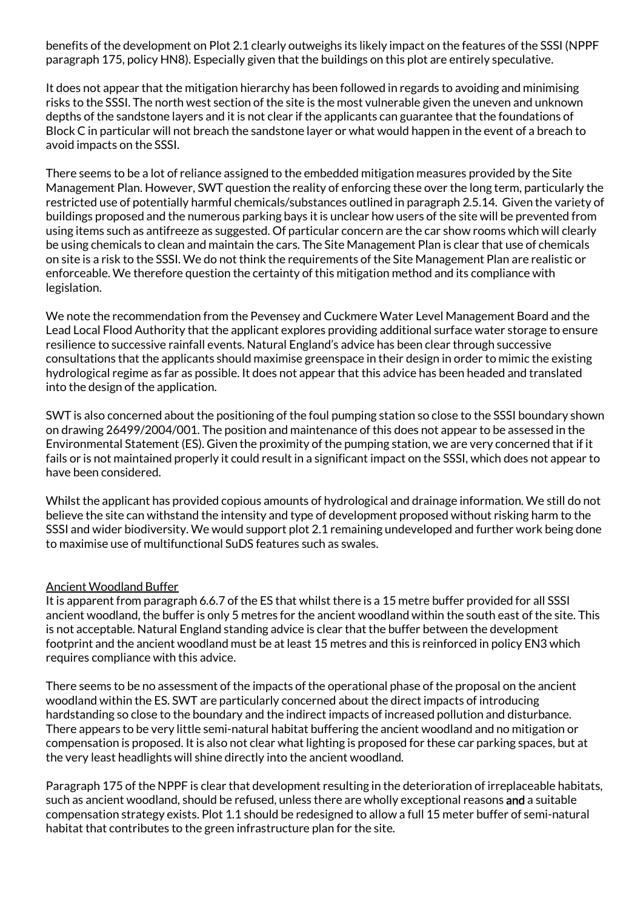benefits of the development on Plot 2.1 clearly outweighs its likely impact on the features of the SSSI (NPPF paragraph 175, policy HN8). Especially given that the buildings on this plot are entirely speculative.

It does not appear that the mitigation hierarchy has been followed in regards to avoiding and minimising risks to the SSSI. The north west section of the site is the most vulnerable given the uneven and unknown depths of the sandstone layers and it is not clear if the applicants can guarantee that the foundations of Block C in particular will not breach the sandstone layer or what would happen in the event of a breach to avoid impacts on the SSSI.

There seems to be a lot of reliance assigned to the embedded mitigation measures provided by the Site Management Plan. However, SWT question the reality of enforcing these over the long term, particularly the restricted use of potentially harmful chemicals/substances outlined in paragraph 2.5.14. Given the variety of buildings proposed and the numerous parking bays it is unclear how users of the site will be prevented from using items such as antifreeze as suggested. Of particular concern are the car show rooms which will clearly be using chemicals to clean and maintain the cars. The Site Management Plan is clear that use of chemicals on site is a risk to the SSSI. We do not think the requirements of the Site Management Plan are realistic or enforceable. We therefore question the certainty of this mitigation method and its compliance with legislation.

We note the recommendation from the Pevensey and Cuckmere Water Level Management Board and the Lead Local Flood Authority that the applicant explores providing additional surface water storage to ensure resilience to successive rainfall events. Natural England's advice has been clear through successive consultations that the applicants should maximise greenspace in their design in order to mimic the existing hydrological regime as far as possible. It does not appear that this advice has been headed and translated into the design of the application.

SWT is also concerned about the positioning of the foul pumping station so close to the SSSI boundary shown on drawing 26499/2004/001. The position and maintenance of this does not appear to be assessed in the Environmental Statement (ES). Given the proximity of the pumping station, we are very concerned that if it fails or is not maintained properly it could result in a significant impact on the SSSI, which does not appear to have been considered.

Whilst the applicant has provided copious amounts of hydrological and drainage information. We still do not believe the site can withstand the intensity and type of development proposed without risking harm to the SSSI and wider biodiversity. We would support plot 2.1 remaining undeveloped and further work being done to maximise use of multifunctional SuDS features such as swales.

# Ancient Woodland Buffer

It is apparent from paragraph 6.6.7 of the ES that whilst there is a 15 metre buffer provided for all SSSI ancient woodland, the buffer is only 5 metres for the ancient woodland within the south east of the site. This is not acceptable. Natural England standing advice is clear that the buffer between the development footprint and the ancient woodland must be at least 15 metres and this is reinforced in policy EN3 which requires compliance with this advice.

There seems to be no assessment of the impacts of the operational phase of the proposal on the ancient woodland within the ES. SWT are particularly concerned about the direct impacts of introducing hardstanding so close to the boundary and the indirect impacts of increased pollution and disturbance. There appears to be very little semi-natural habitat buffering the ancient woodland and no mitigation or compensation is proposed. It is also not clear what lighting is proposed for these car parking spaces, but at the very least headlights will shine directly into the ancient woodland.

Paragraph 175 of the NPPF is clear that development resulting in the deterioration of irreplaceable habitats, such as ancient woodland, should be refused, unless there are wholly exceptional reasons and a suitable compensation strategy exists. Plot 1.1 should be redesigned to allow a full 15 meter buffer of semi-natural habitat that contributes to the green infrastructure plan for the site.